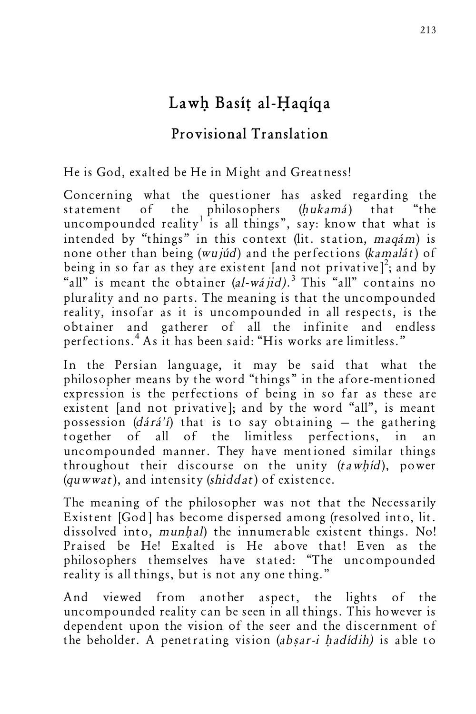## Lawh Basít al-Haqíqa

## **Provisional Translation**

He is God, exalted be He in Might and Greatness!

Concerning what the questioner has asked regarding the statement of the philosophers (hukamá) that "the uncompounded reality is all things", say: know that what is intended by "things" in this context (lit. station, maqám) is none other than being (wujúd) and the perfections (kamalát) of being in so far as they are existent [and not privative]<sup>2</sup>; and by "all" is meant the obtainer  $(al-wájid)$ .<sup>3</sup> This "all" contains no plurality and no parts. The meaning is that the uncompounded reality, insofar as it is uncompounded in all respects, is the obtainer and gatherer of all the infinite and endless perfections.<sup>4</sup> As it has been said: "His works are limitless."

In the Persian language, it may be said that what the philosopher means by the word "things" in the afore-mentioned expression is the perfections of being in so far as these are existent [and not privative]; and by the word "all", is meant possession ( $dárá'i$ ) that is to say obtaining – the gathering together of all of the limitless perfections, in an uncompounded manner. They have mentioned similar things throughout their discourse on the unity  $(tawhid)$ , power (quwwat), and intensity (shiddat) of existence.

The meaning of the philosopher was not that the Necessarily Existent [God] has become dispersed among (resolved into, lit. dissolved into, munhal) the innumerable existent things. No! Praised be He! Exalted is He above that! Even as the philosophers themselves have stated: "The uncompounded reality is all things, but is not any one thing."

And viewed from another aspect, the lights of the uncompounded reality can be seen in all things. This however is dependent upon the vision of the seer and the discernment of the beholder. A penetrating vision (absar-i hadídih) is able to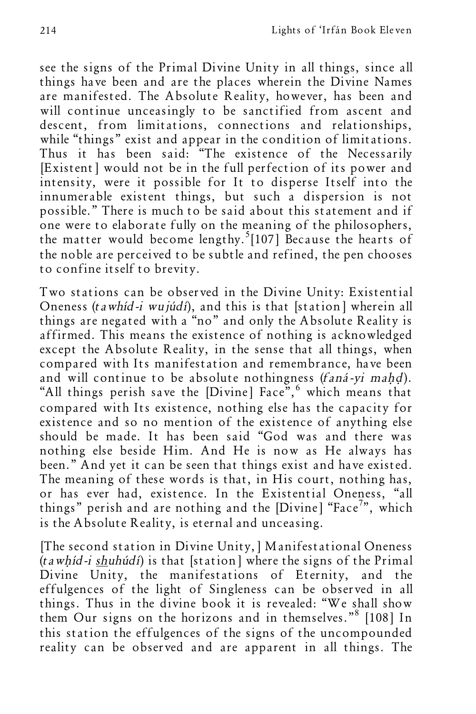see the signs of the Primal Divine Unity in all things, since all things have been and are the places wherein the Divine Names are manifested. The Absolute Reality, however, has been and will continue unceasingly to be sanctified from ascent and descent, from limitations, connections and relationships, while "things" exist and appear in the condition of limitations. Thus it has been said: "The existence of the Necessarily [Existent] would not be in the full perfection of its power and intensity, were it possible for It to disperse Itself into the innumerable existent things, but such a dispersion is not possible." There is much to be said about this statement and if one were to elaborate fully on the meaning of the philosophers, the matter would become lengthy.<sup>5</sup>[107] Because the hearts of the noble are perceived to be subtle and refined, the pen chooses to confine itself to brevity.

Two stations can be observed in the Divine Unity: Existential Oneness (tawhíd-i wujúdí), and this is that [station] wherein all things are negated with a "no" and only the Absolute Reality is affirmed. This means the existence of nothing is acknowledged except the Absolute Reality, in the sense that all things, when compared with Its manifestation and remembrance, have been and will continue to be absolute nothingness (faná-yi mahd). "All things perish save the [Divine] Face",<sup>6</sup> which means that compared with Its existence, nothing else has the capacity for existence and so no mention of the existence of anything else should be made. It has been said "God was and there was nothing else beside Him. And He is now as He always has been." And yet it can be seen that things exist and have existed. The meaning of these words is that, in His court, nothing has, or has ever had, existence. In the Existential Oneness, "all things" perish and are nothing and the [Divine] "Face<sup>7</sup>", which is the Absolute Reality, is eternal and unceasing.

[The second station in Divine Unity,] Manifestational Oneness  $(tawhid-i shuhúd)$  is that [station] where the signs of the Primal Divine Unity, the manifestations of Eternity, and the effulgences of the light of Singleness can be observed in all things. Thus in the divine book it is revealed: "We shall show them Our signs on the horizons and in themselves."<sup>8</sup> [108] In this station the effulgences of the signs of the uncompounded reality can be observed and are apparent in all things. The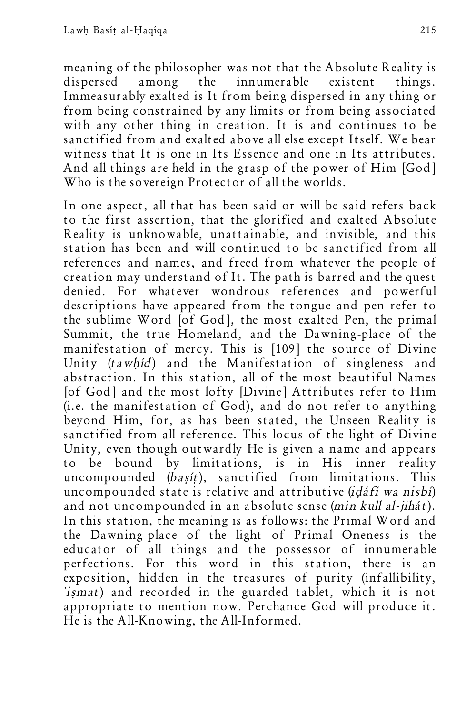meaning of the philosopher was not that the Absolute Reality is dispersed among the innumerable existent things. Immeasurably exalted is It from being dispersed in any thing or from being constrained by any limits or from being associated with any other thing in creation. It is and continues to be sanctified from and exalted above all else except Itself. We bear witness that It is one in Its Essence and one in Its attributes. And all things are held in the grasp of the power of Him [God] Who is the sovereign Protector of all the worlds.

In one aspect, all that has been said or will be said refers back to the first assertion, that the glorified and exalted Absolute Reality is unknowable, unattainable, and invisible, and this station has been and will continued to be sanctified from all references and names, and freed from whatever the people of creation may understand of It. The path is barred and the quest denied. For whatever wondrous references and powerful descriptions have appeared from the tongue and pen refer to the sublime Word [of God], the most exalted Pen, the primal Summit, the true Homeland, and the Dawning-place of the manifestation of mercy. This is [109] the source of Divine Unity (tawhid) and the Manifestation of singleness and abstraction. In this station, all of the most beautiful Names [of God] and the most lofty [Divine] Attributes refer to Him (i.e. the manifestation of God), and do not refer to anything beyond Him, for, as has been stated, the Unseen Reality is sanctified from all reference. This locus of the light of Divine Unity, even though outwardly He is given a name and appears to be bound by limitations, is in His inner reality uncompounded (basit), sanctified from limitations. This uncompounded state is relative and attributive (idáfí wa nisbí) and not uncompounded in an absolute sense (min kull al-jihát). In this station, the meaning is as follows: the Primal Word and the Dawning-place of the light of Primal Oneness is the educator of all things and the possessor of innumerable perfections. For this word in this station, there is an exposition, hidden in the treasures of purity (infallibility, `ißmat) and recorded in the guarded tablet, which it is not appropriate to mention now. Perchance God will produce it. He is the All-Knowing, the All-Informed.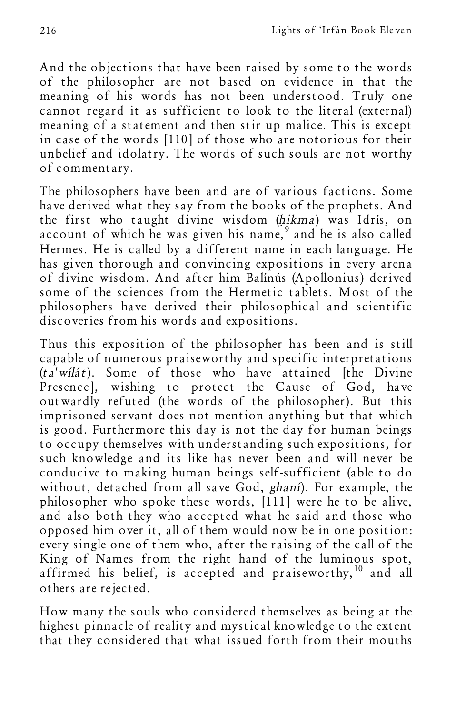And the objections that have been raised by some to the words of the philosopher are not based on evidence in that the meaning of his words has not been understood. Truly one cannot regard it as sufficient to look to the literal (external) meaning of a statement and then stir up malice. This is except in case of the words [110] of those who are notorious for their unbelief and idolatry. The words of such souls are not worthy of commentary.

The philosophers have been and are of various factions. Some have derived what they say from the books of the prophets. And the first who taught divine wisdom (hikma) was Idrís, on account of which he was given his name,  $9$  and he is also called Hermes. He is called by a different name in each language. He has given thorough and convincing expositions in every arena of divine wisdom. And after him Balínús (Apollonius) derived some of the sciences from the Hermetic tablets. Most of the philosophers have derived their philosophical and scientific discoveries from his words and expositions.

Thus this exposition of the philosopher has been and is still capable of numerous praiseworthy and specific interpretations  $(ta'wil\acute{a}t)$ . Some of those who have attained [the Divine Presence], wishing to protect the Cause of God, have outwardly refuted (the words of the philosopher). But this imprisoned servant does not mention anything but that which is good. Furthermore this day is not the day for human beings to occupy themselves with understanding such expositions, for such knowledge and its like has never been and will never be conducive to making human beings self-sufficient (able to do without, detached from all save God, ghaní). For example, the philosopher who spoke these words, [111] were he to be alive, and also both they who accepted what he said and those who opposed him over it, all of them would now be in one position: every single one of them who, after the raising of the call of the King of Names from the right hand of the luminous spot, affirmed his belief, is accepted and praiseworthy,  $10$  and all others are rejected.

How many the souls who considered themselves as being at the highest pinnacle of reality and mystical knowledge to the extent that they considered that what issued forth from their mouths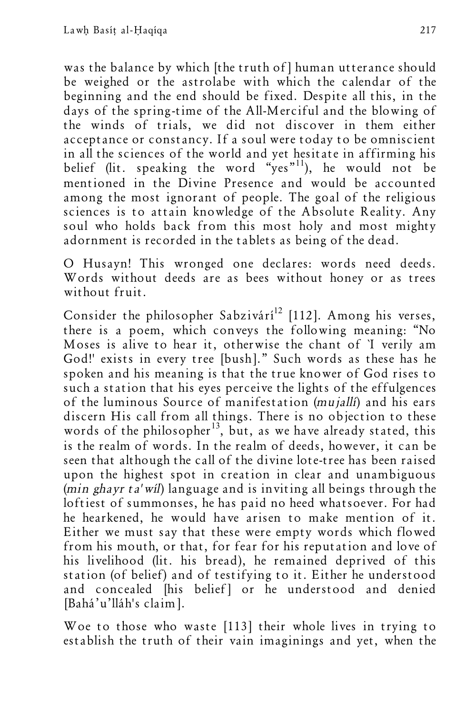was the balance by which [the truth of] human utterance should be weighed or the astrolabe with which the calendar of the beginning and the end should be fixed. Despite all this, in the days of the spring-time of the All-Merciful and the blowing of the winds of trials, we did not discover in them either acceptance or constancy. If a soul were today to be omniscient in all the sciences of the world and yet hesitate in affirming his belief (lit. speaking the word "yes"<sup>11</sup>), he would not be mentioned in the Divine Presence and would be accounted among the most ignorant of people. The goal of the religious sciences is to attain knowledge of the Absolute Reality. Any soul who holds back from this most holy and most mighty adornment is recorded in the tablets as being of the dead.

O Husayn! This wronged one declares: words need deeds. Words without deeds are as bees without honey or as trees without fruit.

Consider the philosopher Sabzivárí<sup>12</sup> [112]. Among his verses, there is a poem, which conveys the following meaning: "No Moses is alive to hear it, otherwise the chant of `I verily am God!' exists in every tree [bush]." Such words as these has he spoken and his meaning is that the true knower of God rises to such a station that his eyes perceive the lights of the effulgences of the luminous Source of manifestation (mujallí) and his ears discern His call from all things. There is no objection to these words of the philosopher<sup>13</sup>, but, as we have already stated, this is the realm of words. In the realm of deeds, however, it can be seen that although the call of the divine lote-tree has been raised upon the highest spot in creation in clear and unambiguous (min ghayr ta' wil) language and is inviting all beings through the loftiest of summonses, he has paid no heed whatsoever. For had he hearkened, he would have arisen to make mention of it. Either we must say that these were empty words which flowed from his mouth, or that, for fear for his reputation and love of his livelihood (lit. his bread), he remained deprived of this station (of belief) and of testifying to it. Either he understood and concealed [his belief] or he understood and denied [Bahá'u'lláh's claim].

Woe to those who waste [113] their whole lives in trying to establish the truth of their vain imaginings and yet, when the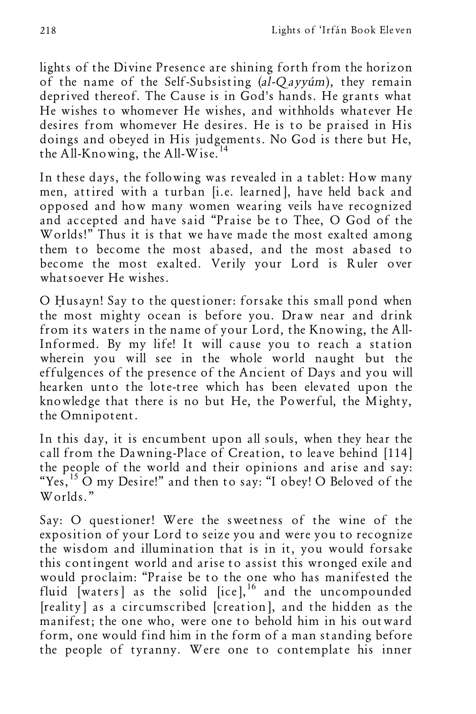lights of the Divine Presence are shining forth from the horizon of the name of the Self-Subsisting (al-Qayyúm), they remain deprived thereof. The Cause is in God's hands. He grants what He wishes to whomever He wishes, and withholds whatever He desires from whomever He desires. He is to be praised in His doings and obeyed in His judgements. No God is there but He, the All-Knowing, the All-Wise.<sup>14</sup>

In these days, the following was revealed in a tablet: How many men, attired with a turban [i.e. learned], have held back and opposed and how many women wearing veils have recognized and accepted and have said "Praise be to Thee, O God of the Worlds!" Thus it is that we have made the most exalted among them to become the most abased, and the most abased to become the most exalted. Verily your Lord is Ruler over whatsoever He wishes.

O Husayn! Say to the questioner: forsake this small pond when the most mighty ocean is before you. Draw near and drink from its waters in the name of your Lord, the Knowing, the All-Informed. By my life! It will cause you to reach a station wherein you will see in the whole world naught but the effulgences of the presence of the Ancient of Days and you will hearken unto the lote-tree which has been elevated upon the knowledge that there is no but He, the Powerful, the Mighty, the Omnipotent.

In this day, it is encumbent upon all souls, when they hear the call from the Dawning-Place of Creation, to leave behind [114] the people of the world and their opinions and arise and say: "Yes,<sup>15</sup> O my Desire!" and then to say: "I obey! O Beloved of the Worlds."

Say: O questioner! Were the sweetness of the wine of the exposition of your Lord to seize you and were you to recognize the wisdom and illumination that is in it, you would forsake this contingent world and arise to assist this wronged exile and would proclaim: "Praise be to the one who has manifested the fluid  $[\text{waters}]$  as the solid  $[\text{ice}]$ , <sup>16</sup> and the uncompounded [reality] as a circumscribed [creation], and the hidden as the manifest; the one who, were one to behold him in his outward form, one would find him in the form of a man standing before the people of tyranny. Were one to contemplate his inner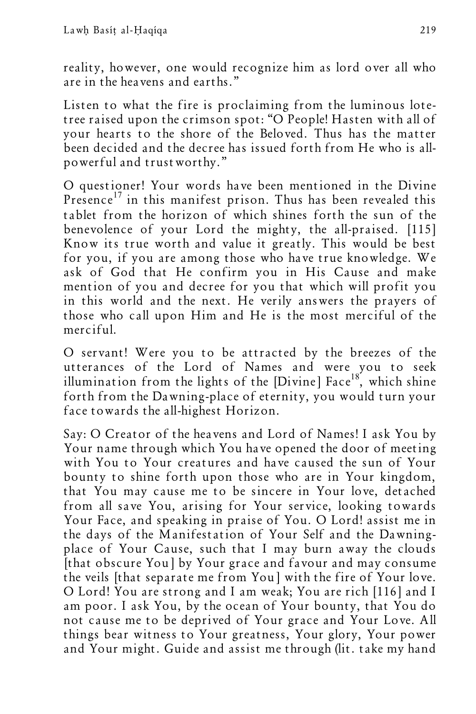reality, however, one would recognize him as lord over all who are in the heavens and earths."

Listen to what the fire is proclaiming from the luminous lotetree raised upon the crimson spot: "O People! Hasten with all of your hearts to the shore of the Beloved. Thus has the matter been decided and the decree has issued forth from He who is allpowerful and trustworthy."

O questioner! Your words have been mentioned in the Divine Presence<sup>17</sup> in this manifest prison. Thus has been revealed this tablet from the horizon of which shines forth the sun of the benevolence of your Lord the mighty, the all-praised. [115] Know its true worth and value it greatly. This would be best for you, if you are among those who have true knowledge. We ask of God that He confirm you in His Cause and make mention of you and decree for you that which will profit you in this world and the next. He verily answers the prayers of those who call upon Him and He is the most merciful of the merciful.

O servant! Were you to be attracted by the breezes of the utterances of the Lord of Names and were you to seek illumination from the lights of the [Divine] Face<sup>18</sup>, which shine forth from the Dawning-place of eternity, you would turn your face towards the all-highest Horizon.

Say: O Creator of the heavens and Lord of Names! I ask You by Your name through which You have opened the door of meeting with You to Your creatures and have caused the sun of Your bounty to shine forth upon those who are in Your kingdom, that You may cause me to be sincere in Your love, detached from all save You, arising for Your service, looking towards Your Face, and speaking in praise of You. O Lord! assist me in the days of the Manifestation of Your Self and the Dawningplace of Your Cause, such that I may burn away the clouds [that obscure You] by Your grace and favour and may consume the veils [that separate me from You] with the fire of Your love. O Lord! You are strong and I am weak; You are rich [116] and I am poor. I ask You, by the ocean of Your bounty, that You do not cause me to be deprived of Your grace and Your Love. All things bear witness to Your greatness, Your glory, Your power and Your might. Guide and assist me through (lit. take my hand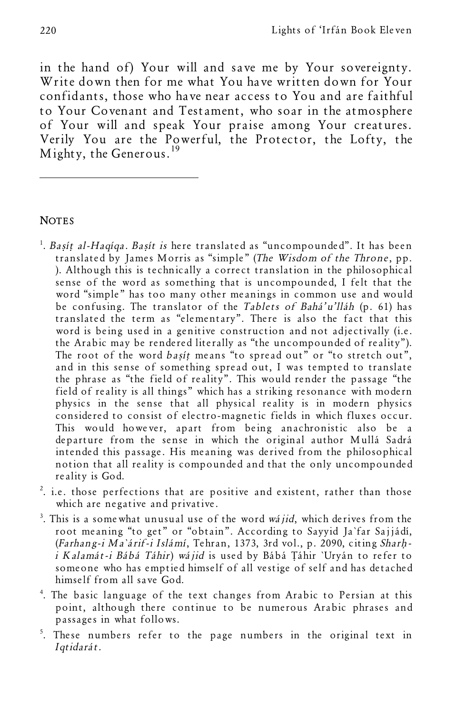in the hand of) Your will and save me by Your sovereignty. Write down then for me what You have written down for Your confidants, those who have near access to You and are faithful to Your Covenant and Testament, who soar in the atmosphere of Your will and speak Your praise among Your creatures. Verily You are the Powerful, the Protector, the Lofty, the Mighty, the Generous.<sup>19</sup>

## **NOTES**

l

- <sup>1</sup>. Basít al-Haqíqa. Basít is here translated as "uncompounded". It has been translated by James Morris as "simple" (The Wisdom of the Throne, pp. ). Although this is technically a correct translation in the philosophical sense of the word as something that is uncompounded, I felt that the word "simple" has too many other meanings in common use and would be confusing. The translator of the Tablets of Bahá'u'lláh (p. 61) has translated the term as "elementary". There is also the fact that this word is being used in a genitive construction and not adjectivally (i.e. the Arabic may be rendered literally as "the uncompounded of reality"). The root of the word basit means "to spread out" or "to stretch out", and in this sense of something spread out, I was tempted to translate the phrase as "the field of reality". This would render the passage "the field of reality is all things" which has a striking resonance with modern physics in the sense that all physical reality is in modern physics considered to consist of electro-magnetic fields in which fluxes occur. This would however, apart from being anachronistic also be a departure from the sense in which the original author Mullá Sadrá intended this passage. His meaning was derived from the philosophical notion that all reality is compounded and that the only uncompounded reality is God.
- $2$ . i.e. those perfections that are positive and existent, rather than those which are negative and privative.
- $3$ . This is a somewhat unusual use of the word wájid, which derives from the root meaning "to get" or "obtain". According to Sayyid Ja`far Sajjádí, (Farhang-i Ma`árif-i Islámí, Tehran, 1373, 3rd vol., p. 2090, citing Sharhi Kalamát-i Bábá Táhir) wájid is used by Bábá Táhir `Uryán to refer to someone who has emptied himself of all vestige of self and has detached himself from all save God.
- 4 . The basic language of the text changes from Arabic to Persian at this point, although there continue to be numerous Arabic phrases and passages in what follows.
- <sup>5</sup>. These numbers refer to the page numbers in the original text in Iqtidarát.